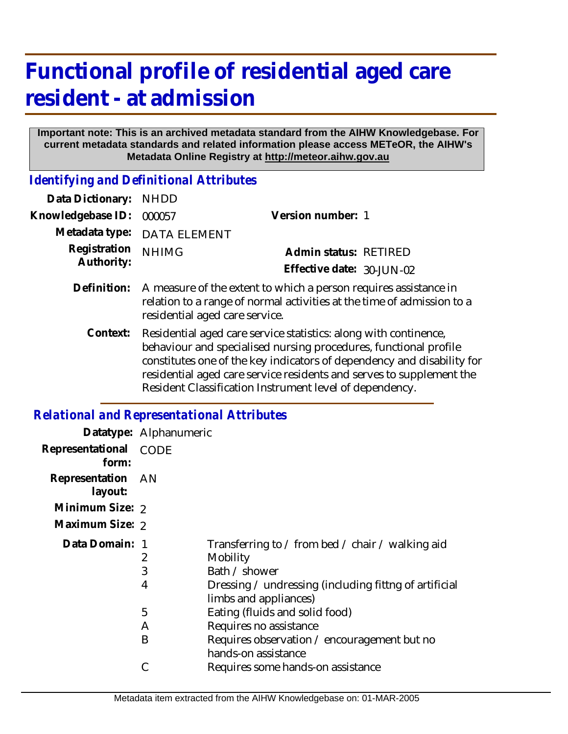## **Functional profile of residential aged care resident - at admission**

## **Important note: This is an archived metadata standard from the AIHW Knowledgebase. For current metadata standards and related information please access METeOR, the AIHW's Metadata Online Registry at http://meteor.aihw.gov.au**

*Identifying and Definitional Attributes*

| Data Dictionary:           | <b>NHDD</b>                                                                                                                                                                                                                                                                                                                                       |                           |  |
|----------------------------|---------------------------------------------------------------------------------------------------------------------------------------------------------------------------------------------------------------------------------------------------------------------------------------------------------------------------------------------------|---------------------------|--|
| Knowledgebase ID:          | 000057                                                                                                                                                                                                                                                                                                                                            | Version number: 1         |  |
| Metadata type:             | <b>DATA ELEMENT</b>                                                                                                                                                                                                                                                                                                                               |                           |  |
| Registration<br>Authority: | <b>NHIMG</b>                                                                                                                                                                                                                                                                                                                                      | Admin status: RETIRED     |  |
|                            |                                                                                                                                                                                                                                                                                                                                                   | Effective date: 30-JUN-02 |  |
| Definition:                | A measure of the extent to which a person requires assistance in<br>relation to a range of normal activities at the time of admission to a<br>residential aged care service.                                                                                                                                                                      |                           |  |
| Context:                   | Residential aged care service statistics: along with continence,<br>behaviour and specialised nursing procedures, functional profile<br>constitutes one of the key indicators of dependency and disability for<br>residential aged care service residents and serves to supplement the<br>Resident Classification Instrument level of dependency. |                           |  |

## *Relational and Representational Attributes*

|                              | Datatype: Alphanumeric |                                                                                                                                                                 |
|------------------------------|------------------------|-----------------------------------------------------------------------------------------------------------------------------------------------------------------|
| Representational<br>form:    | CODE                   |                                                                                                                                                                 |
| Representation AN<br>layout: |                        |                                                                                                                                                                 |
| Minimum Size: 2              |                        |                                                                                                                                                                 |
| Maximum Size: 2              |                        |                                                                                                                                                                 |
| Data Domain: 1               | 2<br>3<br>4            | Transferring to / from bed / chair / walking aid<br>Mobility<br>Bath / shower<br>Dressing / undressing (including fittng of artificial<br>limbs and appliances) |
|                              | 5                      | Eating (fluids and solid food)                                                                                                                                  |
|                              | A                      | Requires no assistance                                                                                                                                          |
|                              | B<br>С                 | Requires observation / encouragement but no<br>hands-on assistance<br>Requires some hands-on assistance                                                         |
|                              |                        |                                                                                                                                                                 |